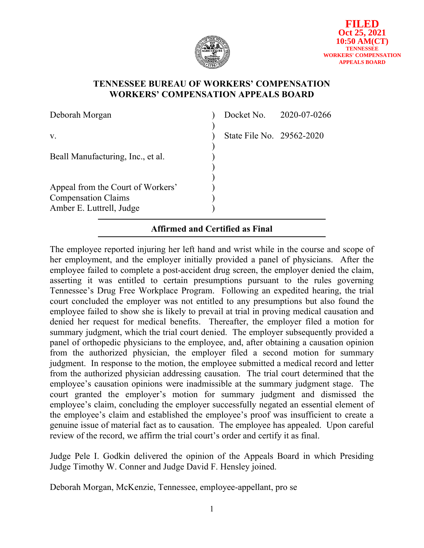

## **TENNESSEE BUREAU OF WORKERS' COMPENSATION WORKERS' COMPENSATION APPEALS BOARD**

| Deborah Morgan                                                                              |                           | Docket No. 2020-07-0266 |
|---------------------------------------------------------------------------------------------|---------------------------|-------------------------|
| V.                                                                                          | State File No. 29562-2020 |                         |
| Beall Manufacturing, Inc., et al.                                                           |                           |                         |
| Appeal from the Court of Workers'<br><b>Compensation Claims</b><br>Amber E. Luttrell, Judge |                           |                         |

# **Affirmed and Certified as Final**

The employee reported injuring her left hand and wrist while in the course and scope of her employment, and the employer initially provided a panel of physicians. After the employee failed to complete a post-accident drug screen, the employer denied the claim, asserting it was entitled to certain presumptions pursuant to the rules governing Tennessee's Drug Free Workplace Program. Following an expedited hearing, the trial court concluded the employer was not entitled to any presumptions but also found the employee failed to show she is likely to prevail at trial in proving medical causation and denied her request for medical benefits. Thereafter, the employer filed a motion for summary judgment, which the trial court denied. The employer subsequently provided a panel of orthopedic physicians to the employee, and, after obtaining a causation opinion from the authorized physician, the employer filed a second motion for summary judgment. In response to the motion, the employee submitted a medical record and letter from the authorized physician addressing causation. The trial court determined that the employee's causation opinions were inadmissible at the summary judgment stage. The court granted the employer's motion for summary judgment and dismissed the employee's claim, concluding the employer successfully negated an essential element of the employee's claim and established the employee's proof was insufficient to create a genuine issue of material fact as to causation. The employee has appealed. Upon careful review of the record, we affirm the trial court's order and certify it as final.

Judge Pele I. Godkin delivered the opinion of the Appeals Board in which Presiding Judge Timothy W. Conner and Judge David F. Hensley joined.

Deborah Morgan, McKenzie, Tennessee, employee-appellant, pro se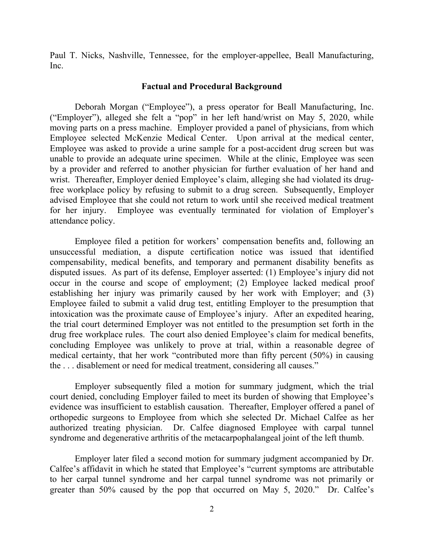Paul T. Nicks, Nashville, Tennessee, for the employer-appellee, Beall Manufacturing, Inc.

#### **Factual and Procedural Background**

Deborah Morgan ("Employee"), a press operator for Beall Manufacturing, Inc. ("Employer"), alleged she felt a "pop" in her left hand/wrist on May 5, 2020, while moving parts on a press machine. Employer provided a panel of physicians, from which Employee selected McKenzie Medical Center. Upon arrival at the medical center, Employee was asked to provide a urine sample for a post-accident drug screen but was unable to provide an adequate urine specimen. While at the clinic, Employee was seen by a provider and referred to another physician for further evaluation of her hand and wrist. Thereafter, Employer denied Employee's claim, alleging she had violated its drugfree workplace policy by refusing to submit to a drug screen. Subsequently, Employer advised Employee that she could not return to work until she received medical treatment for her injury. Employee was eventually terminated for violation of Employer's attendance policy.

Employee filed a petition for workers' compensation benefits and, following an unsuccessful mediation, a dispute certification notice was issued that identified compensability, medical benefits, and temporary and permanent disability benefits as disputed issues. As part of its defense, Employer asserted: (1) Employee's injury did not occur in the course and scope of employment; (2) Employee lacked medical proof establishing her injury was primarily caused by her work with Employer; and (3) Employee failed to submit a valid drug test, entitling Employer to the presumption that intoxication was the proximate cause of Employee's injury. After an expedited hearing, the trial court determined Employer was not entitled to the presumption set forth in the drug free workplace rules. The court also denied Employee's claim for medical benefits, concluding Employee was unlikely to prove at trial, within a reasonable degree of medical certainty, that her work "contributed more than fifty percent (50%) in causing the . . . disablement or need for medical treatment, considering all causes."

Employer subsequently filed a motion for summary judgment, which the trial court denied, concluding Employer failed to meet its burden of showing that Employee's evidence was insufficient to establish causation. Thereafter, Employer offered a panel of orthopedic surgeons to Employee from which she selected Dr. Michael Calfee as her authorized treating physician. Dr. Calfee diagnosed Employee with carpal tunnel syndrome and degenerative arthritis of the metacarpophalangeal joint of the left thumb.

Employer later filed a second motion for summary judgment accompanied by Dr. Calfee's affidavit in which he stated that Employee's "current symptoms are attributable to her carpal tunnel syndrome and her carpal tunnel syndrome was not primarily or greater than 50% caused by the pop that occurred on May 5, 2020." Dr. Calfee's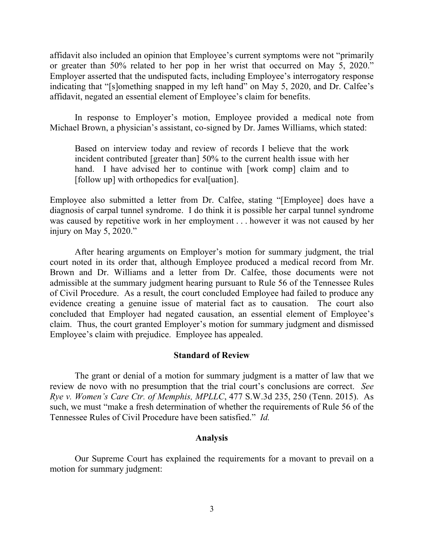affidavit also included an opinion that Employee's current symptoms were not "primarily or greater than 50% related to her pop in her wrist that occurred on May 5, 2020." Employer asserted that the undisputed facts, including Employee's interrogatory response indicating that "[s]omething snapped in my left hand" on May 5, 2020, and Dr. Calfee's affidavit, negated an essential element of Employee's claim for benefits.

In response to Employer's motion, Employee provided a medical note from Michael Brown, a physician's assistant, co-signed by Dr. James Williams, which stated:

Based on interview today and review of records I believe that the work incident contributed [greater than] 50% to the current health issue with her hand. I have advised her to continue with [work comp] claim and to [follow up] with orthopedics for eval[uation].

Employee also submitted a letter from Dr. Calfee, stating "[Employee] does have a diagnosis of carpal tunnel syndrome. I do think it is possible her carpal tunnel syndrome was caused by repetitive work in her employment . . . however it was not caused by her injury on May 5, 2020."

After hearing arguments on Employer's motion for summary judgment, the trial court noted in its order that, although Employee produced a medical record from Mr. Brown and Dr. Williams and a letter from Dr. Calfee, those documents were not admissible at the summary judgment hearing pursuant to Rule 56 of the Tennessee Rules of Civil Procedure. As a result, the court concluded Employee had failed to produce any evidence creating a genuine issue of material fact as to causation. The court also concluded that Employer had negated causation, an essential element of Employee's claim. Thus, the court granted Employer's motion for summary judgment and dismissed Employee's claim with prejudice. Employee has appealed.

#### **Standard of Review**

The grant or denial of a motion for summary judgment is a matter of law that we review de novo with no presumption that the trial court's conclusions are correct. *See Rye v. Women's Care Ctr. of Memphis, MPLLC*, 477 S.W.3d 235, 250 (Tenn. 2015). As such, we must "make a fresh determination of whether the requirements of Rule 56 of the Tennessee Rules of Civil Procedure have been satisfied." *Id.*

#### **Analysis**

Our Supreme Court has explained the requirements for a movant to prevail on a motion for summary judgment: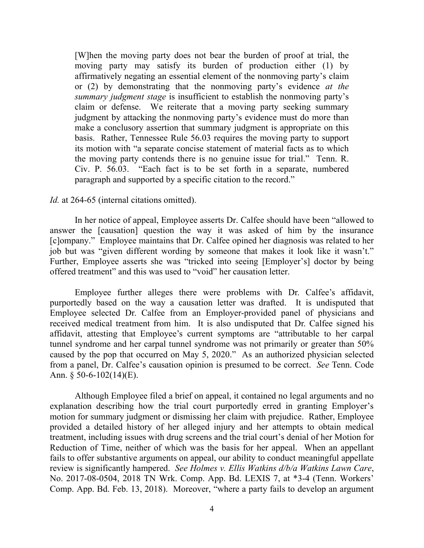[W]hen the moving party does not bear the burden of proof at trial, the moving party may satisfy its burden of production either (1) by affirmatively negating an essential element of the nonmoving party's claim or (2) by demonstrating that the nonmoving party's evidence *at the summary judgment stage* is insufficient to establish the nonmoving party's claim or defense. We reiterate that a moving party seeking summary judgment by attacking the nonmoving party's evidence must do more than make a conclusory assertion that summary judgment is appropriate on this basis. Rather, Tennessee Rule [56.03](https://advance.lexis.com/search/?pdmfid=1000516&crid=cfba245c-2fb8-4191-a925-b1813ab6187b&pdsearchterms=Lundell+v.+Hubbs%2C+2020+Tenn.+App.+LEXIS+528&pdtypeofsearch=searchboxclick&pdsearchtype=SearchBox&pdstartin=&pdsavestartin=true&pdpsf=jur%3A1%3A67&pdqttype=and&pdquerytemplateid=&pdsf=&ecomp=pys5kkk&earg=pdpsf&prid=d2acb030-4136-4d3d-8d8d-a63ae9dd5905) requires the moving party to support its motion with "a separate concise statement of material facts as to which the moving party contends there is no genuine issue for trial." [Tenn.](https://advance.lexis.com/search/?pdmfid=1000516&crid=cfba245c-2fb8-4191-a925-b1813ab6187b&pdsearchterms=Lundell+v.+Hubbs%2C+2020+Tenn.+App.+LEXIS+528&pdtypeofsearch=searchboxclick&pdsearchtype=SearchBox&pdstartin=&pdsavestartin=true&pdpsf=jur%3A1%3A67&pdqttype=and&pdquerytemplateid=&pdsf=&ecomp=pys5kkk&earg=pdpsf&prid=d2acb030-4136-4d3d-8d8d-a63ae9dd5905) R. Civ. P. [56.03.](https://advance.lexis.com/search/?pdmfid=1000516&crid=cfba245c-2fb8-4191-a925-b1813ab6187b&pdsearchterms=Lundell+v.+Hubbs%2C+2020+Tenn.+App.+LEXIS+528&pdtypeofsearch=searchboxclick&pdsearchtype=SearchBox&pdstartin=&pdsavestartin=true&pdpsf=jur%3A1%3A67&pdqttype=and&pdquerytemplateid=&pdsf=&ecomp=pys5kkk&earg=pdpsf&prid=d2acb030-4136-4d3d-8d8d-a63ae9dd5905) "Each fact is to be set forth in a separate, numbered paragraph and supported by a specific citation to the record."

#### *Id.* at [264-65](https://advance.lexis.com/search/?pdmfid=1000516&crid=cfba245c-2fb8-4191-a925-b1813ab6187b&pdsearchterms=Lundell+v.+Hubbs%2C+2020+Tenn.+App.+LEXIS+528&pdtypeofsearch=searchboxclick&pdsearchtype=SearchBox&pdstartin=&pdsavestartin=true&pdpsf=jur%3A1%3A67&pdqttype=and&pdquerytemplateid=&pdsf=&ecomp=pys5kkk&earg=pdpsf&prid=d2acb030-4136-4d3d-8d8d-a63ae9dd5905) (internal citations omitted).

In her notice of appeal, Employee asserts Dr. Calfee should have been "allowed to answer the [causation] question the way it was asked of him by the insurance [c]ompany." Employee maintains that Dr. Calfee opined her diagnosis was related to her job but was "given different wording by someone that makes it look like it wasn't." Further, Employee asserts she was "tricked into seeing [Employer's] doctor by being offered treatment" and this was used to "void" her causation letter.

Employee further alleges there were problems with Dr. Calfee's affidavit, purportedly based on the way a causation letter was drafted. It is undisputed that Employee selected Dr. Calfee from an Employer-provided panel of physicians and received medical treatment from him. It is also undisputed that Dr. Calfee signed his affidavit, attesting that Employee's current symptoms are "attributable to her carpal tunnel syndrome and her carpal tunnel syndrome was not primarily or greater than 50% caused by the pop that occurred on May 5, 2020." As an authorized physician selected from a panel, Dr. Calfee's causation opinion is presumed to be correct. *See* Tenn. Code Ann.  $\S$  50-6-102(14)(E).

Although Employee filed a brief on appeal, it contained no legal arguments and no explanation describing how the trial court purportedly erred in granting Employer's motion for summary judgment or dismissing her claim with prejudice. Rather, Employee provided a detailed history of her alleged injury and her attempts to obtain medical treatment, including issues with drug screens and the trial court's denial of her Motion for Reduction of Time, neither of which was the basis for her appeal. When an appellant fails to offer substantive arguments on appeal, our ability to conduct meaningful appellate review is significantly hampered. *See Holmes v. Ellis Watkins d/b/a Watkins Lawn Care*, No. 2017-08-0504, 2018 TN Wrk. Comp. App. Bd. LEXIS 7, at \*3-4 (Tenn. Workers' Comp. App. Bd. Feb. 13, 2018). Moreover, "where a party fails to develop an argument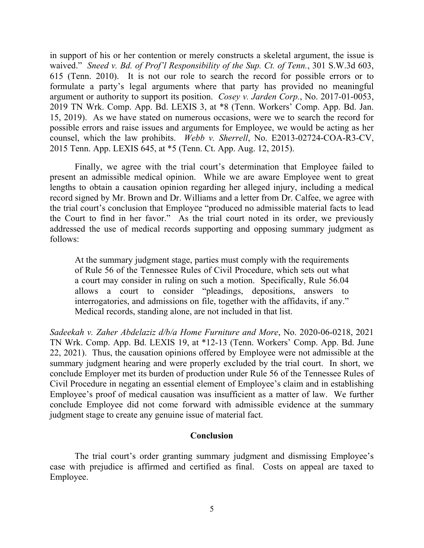in support of his or her contention or merely constructs a skeletal argument, the issue is waived." *Sneed v. Bd. of Prof'l Responsibility of the Sup. Ct. of Tenn.*, 301 S.W.3d 603, 615 (Tenn. 2010). It is not our role to search the record for possible errors or to formulate a party's legal arguments where that party has provided no meaningful argument or authority to support its position. *Cosey v. Jarden Corp.*, No. 2017-01-0053, 2019 TN Wrk. Comp. App. Bd. LEXIS 3, at \*8 (Tenn. Workers' Comp. App. Bd. Jan. 15, 2019). As we have stated on numerous occasions, were we to search the record for possible errors and raise issues and arguments for Employee, we would be acting as her counsel, which the law prohibits. *Webb v. Sherrell*, No. E2013-02724-COA-R3-CV, 2015 Tenn. App. LEXIS 645, at \*5 (Tenn. Ct. App. Aug. 12, 2015).

Finally, we agree with the trial court's determination that Employee failed to present an admissible medical opinion. While we are aware Employee went to great lengths to obtain a causation opinion regarding her alleged injury, including a medical record signed by Mr. Brown and Dr. Williams and a letter from Dr. Calfee, we agree with the trial court's conclusion that Employee "produced no admissible material facts to lead the Court to find in her favor." As the trial court noted in its order, we previously addressed the use of medical records supporting and opposing summary judgment as follows:

At the summary judgment stage, parties must comply with the requirements of Rule 56 of the Tennessee Rules of Civil Procedure, which sets out what a court may consider in ruling on such a motion. Specifically, Rule 56.04 allows a court to consider "pleadings, depositions, answers to interrogatories, and admissions on file, together with the affidavits, if any." Medical records, standing alone, are not included in that list.

*Sadeekah v. Zaher Abdelaziz d/b/a Home Furniture and More*, No. 2020-06-0218, 2021 TN Wrk. Comp. App. Bd. LEXIS 19, at \*12-13 (Tenn. Workers' Comp. App. Bd. June 22, 2021). Thus, the causation opinions offered by Employee were not admissible at the summary judgment hearing and were properly excluded by the trial court. In short, we conclude Employer met its burden of production under Rule 56 of the Tennessee Rules of Civil Procedure in negating an essential element of Employee's claim and in establishing Employee's proof of medical causation was insufficient as a matter of law. We further conclude Employee did not come forward with admissible evidence at the summary judgment stage to create any genuine issue of material fact.

### **Conclusion**

The trial court's order granting summary judgment and dismissing Employee's case with prejudice is affirmed and certified as final. Costs on appeal are taxed to Employee.